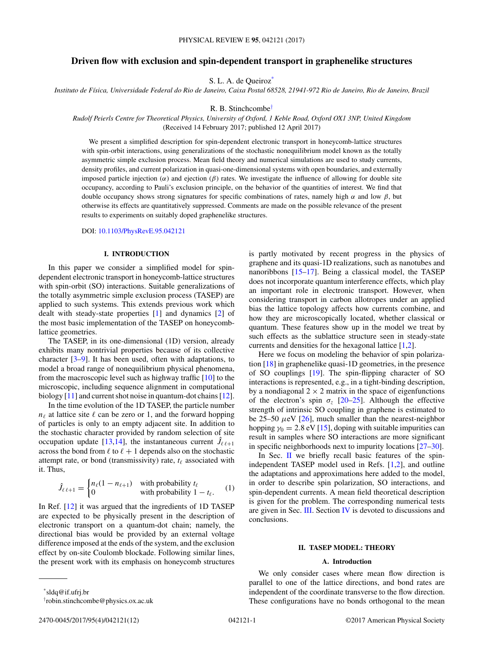# <span id="page-0-0"></span>**Driven flow with exclusion and spin-dependent transport in graphenelike structures**

S. L. A. de Queiroz\*

*Instituto de Física, Universidade Federal do Rio de Janeiro, Caixa Postal 68528, 21941-972 Rio de Janeiro, Rio de Janeiro, Brazil*

R. B. Stinchcombe<sup>†</sup>

*Rudolf Peierls Centre for Theoretical Physics, University of Oxford, 1 Keble Road, Oxford OX1 3NP, United Kingdom* (Received 14 February 2017; published 12 April 2017)

We present a simplified description for spin-dependent electronic transport in honeycomb-lattice structures with spin-orbit interactions, using generalizations of the stochastic nonequilibrium model known as the totally asymmetric simple exclusion process. Mean field theory and numerical simulations are used to study currents, density profiles, and current polarization in quasi-one-dimensional systems with open boundaries, and externally imposed particle injection ( $α$ ) and ejection ( $β$ ) rates. We investigate the influence of allowing for double site occupancy, according to Pauli's exclusion principle, on the behavior of the quantities of interest. We find that double occupancy shows strong signatures for specific combinations of rates, namely high *α* and low *β*, but otherwise its effects are quantitatively suppressed. Comments are made on the possible relevance of the present results to experiments on suitably doped graphenelike structures.

### DOI: [10.1103/PhysRevE.95.042121](https://doi.org/10.1103/PhysRevE.95.042121)

## **I. INTRODUCTION**

In this paper we consider a simplified model for spindependent electronic transport in honeycomb-lattice structures with spin-orbit (SO) interactions. Suitable generalizations of the totally asymmetric simple exclusion process (TASEP) are applied to such systems. This extends previous work which dealt with steady-state properties [\[1\]](#page-10-0) and dynamics [\[2\]](#page-10-0) of the most basic implementation of the TASEP on honeycomblattice geometries.

The TASEP, in its one-dimensional (1D) version, already exhibits many nontrivial properties because of its collective character [\[3–9\]](#page-10-0). It has been used, often with adaptations, to model a broad range of nonequilibrium physical phenomena, from the macroscopic level such as highway traffic [\[10\]](#page-10-0) to the microscopic, including sequence alignment in computational biology [\[11\]](#page-10-0) and current shot noise in quantum-dot chains [\[12\]](#page-10-0).

In the time evolution of the 1D TASEP, the particle number  $n_{\ell}$  at lattice site  $\ell$  can be zero or 1, and the forward hopping of particles is only to an empty adjacent site. In addition to the stochastic character provided by random selection of site occupation update [\[13,14\]](#page-10-0), the instantaneous current  $\hat{J}_{\ell \ell+1}$ across the bond from  $\ell$  to  $\ell + 1$  depends also on the stochastic attempt rate, or bond (transmissivity) rate,  $t_{\ell}$  associated with it. Thus,

$$
\hat{J}_{\ell \ell+1} = \begin{cases} n_{\ell}(1 - n_{\ell+1}) & \text{with probability } t_{\ell} \\ 0 & \text{with probability } 1 - t_{\ell}. \end{cases} \tag{1}
$$

In Ref. [\[12\]](#page-10-0) it was argued that the ingredients of 1D TASEP are expected to be physically present in the description of electronic transport on a quantum-dot chain; namely, the directional bias would be provided by an external voltage difference imposed at the ends of the system, and the exclusion effect by on-site Coulomb blockade. Following similar lines, the present work with its emphasis on honeycomb structures is partly motivated by recent progress in the physics of graphene and its quasi-1D realizations, such as nanotubes and nanoribbons [\[15–17\]](#page-10-0). Being a classical model, the TASEP does not incorporate quantum interference effects, which play an important role in electronic transport. However, when considering transport in carbon allotropes under an applied bias the lattice topology affects how currents combine, and how they are microscopically located, whether classical or quantum. These features show up in the model we treat by such effects as the sublattice structure seen in steady-state currents and densities for the hexagonal lattice [\[1,2\]](#page-10-0).

Here we focus on modeling the behavior of spin polarization [\[18\]](#page-10-0) in graphenelike quasi-1D geometries, in the presence of SO couplings [\[19\]](#page-10-0). The spin-flipping character of SO interactions is represented, e.g., in a tight-binding description, by a nondiagonal  $2 \times 2$  matrix in the space of eigenfunctions of the electron's spin  $\sigma_z$  [\[20–](#page-10-0)[25\]](#page-11-0). Although the effective strength of intrinsic SO coupling in graphene is estimated to be  $25-50 \mu$ eV  $[26]$ , much smaller than the nearest-neighbor hopping  $\gamma_0 = 2.8 \text{ eV}$  [\[15\]](#page-10-0), doping with suitable impurities can result in samples where SO interactions are more significant in specific neighborhoods next to impurity locations [\[27–30\]](#page-11-0).

In Sec.  $\mathbf{I}$  we briefly recall basic features of the spinindependent TASEP model used in Refs. [\[1,2\]](#page-10-0), and outline the adaptations and approximations here added to the model, in order to describe spin polarization, SO interactions, and spin-dependent currents. A mean field theoretical description is given for the problem. The corresponding numerical tests are given in Sec. [III.](#page-4-0) Section [IV](#page-9-0) is devoted to discussions and conclusions.

### **II. TASEP MODEL: THEORY**

### **A. Introduction**

We only consider cases where mean flow direction is parallel to one of the lattice directions, and bond rates are independent of the coordinate transverse to the flow direction. These configurations have no bonds orthogonal to the mean

<sup>\*</sup>sldq@if.ufrj.br

<sup>†</sup> robin.stinchcombe@physics.ox.ac.uk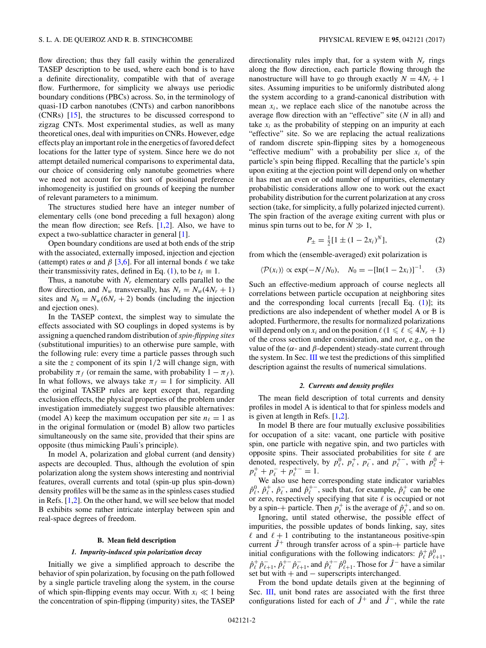<span id="page-1-0"></span>flow direction; thus they fall easily within the generalized TASEP description to be used, where each bond is to have a definite directionality, compatible with that of average flow. Furthermore, for simplicity we always use periodic boundary conditions (PBCs) across. So, in the terminology of quasi-1D carbon nanotubes (CNTs) and carbon nanoribbons (CNRs) [\[15\]](#page-10-0), the structures to be discussed correspond to zigzag CNTs. Most experimental studies, as well as many theoretical ones, deal with impurities on CNRs. However, edge effects play an important role in the energetics of favored defect locations for the latter type of system. Since here we do not attempt detailed numerical comparisons to experimental data, our choice of considering only nanotube geometries where we need not account for this sort of positional preference inhomogeneity is justified on grounds of keeping the number of relevant parameters to a minimum.

The structures studied here have an integer number of elementary cells (one bond preceding a full hexagon) along the mean flow direction; see Refs.  $[1,2]$ . Also, we have to expect a two-sublattice character in general [\[1\]](#page-10-0).

Open boundary conditions are used at both ends of the strip with the associated, externally imposed, injection and ejection (attempt) rates  $\alpha$  and  $\beta$  [\[3,6\]](#page-10-0). For all internal bonds  $\ell$  we take their transmissivity rates, defined in Eq. [\(1\)](#page-0-0), to be  $t_\ell \equiv 1$ .

Thus, a nanotube with  $N_r$  elementary cells parallel to the flow direction, and  $N_w$  transversally, has  $N_s = N_w(4N_r + 1)$ sites and  $N_b = N_w(6N_r + 2)$  bonds (including the injection and ejection ones).

In the TASEP context, the simplest way to simulate the effects associated with SO couplings in doped systems is by assigning a quenched random distribution of*spin-flipping sites* (substitutional impurities) to an otherwise pure sample, with the following rule: every time a particle passes through such a site the *z* component of its spin 1*/*2 will change sign, with probability  $\pi_f$  (or remain the same, with probability  $1 - \pi_f$ ). In what follows, we always take  $\pi_f = 1$  for simplicity. All the original TASEP rules are kept except that, regarding exclusion effects, the physical properties of the problem under investigation immediately suggest two plausible alternatives: (model A) keep the maximum occupation per site  $n_\ell = 1$  as in the original formulation or (model B) allow two particles simultaneously on the same site, provided that their spins are opposite (thus mimicking Pauli's principle).

In model A, polarization and global current (and density) aspects are decoupled. Thus, although the evolution of spin polarization along the system shows interesting and nontrivial features, overall currents and total (spin-up plus spin-down) density profiles will be the same as in the spinless cases studied in Refs. [\[1,2\]](#page-10-0). On the other hand, we will see below that model B exhibits some rather intricate interplay between spin and real-space degrees of freedom.

### **B. Mean field description**

#### *1. Impurity-induced spin polarization decay*

Initially we give a simplified approach to describe the behavior of spin polarization, by focusing on the path followed by a single particle traveling along the system, in the course of which spin-flipping events may occur. With  $x_i \ll 1$  being the concentration of spin-flipping (impurity) sites, the TASEP directionality rules imply that, for a system with  $N_r$  rings along the flow direction, each particle flowing through the nanostructure will have to go through exactly  $N = 4N_r + 1$ sites. Assuming impurities to be uniformly distributed along the system according to a grand-canonical distribution with mean  $x_i$ , we replace each slice of the nanotube across the average flow direction with an "effective" site (*N* in all) and take  $x_i$  as the probability of stepping on an impurity at each "effective" site. So we are replacing the actual realizations of random discrete spin-flipping sites by a homogeneous "effective medium" with a probability per slice  $x_i$  of the particle's spin being flipped. Recalling that the particle's spin upon exiting at the ejection point will depend only on whether it has met an even or odd number of impurities, elementary probabilistic considerations allow one to work out the exact probability distribution for the current polarization at any cross section (take, for simplicity, a fully polarized injected current). The spin fraction of the average exiting current with plus or minus spin turns out to be, for  $N \gg 1$ ,

$$
P_{\pm} = \frac{1}{2} [1 \pm (1 - 2x_i)^N], \tag{2}
$$

from which the (ensemble-averaged) exit polarization is

$$
\langle \mathcal{P}(x_i) \rangle \propto \exp(-N/N_0), \quad N_0 = -[\ln(1-2x_i)]^{-1}.
$$
 (3)

Such an effective-medium approach of course neglects all correlations between particle occupation at neighboring sites and the corresponding local currents [recall Eq. [\(1\)](#page-0-0)]; its predictions are also independent of whether model A or B is adopted. Furthermore, the results for normalized polarizations will depend only on  $x_i$  and on the position  $\ell$  ( $1 \leq \ell \leq 4N_r + 1$ ) of the cross section under consideration, and *not*, e.g., on the value of the (*α*- and *β*-dependent) steady-state current through the system. In Sec. [III](#page-4-0) we test the predictions of this simplified description against the results of numerical simulations.

#### *2. Currents and density profiles*

The mean field description of total currents and density profiles in model A is identical to that for spinless models and is given at length in Refs. [\[1,2\]](#page-10-0).

In model B there are four mutually exclusive possibilities for occupation of a site: vacant, one particle with positive spin, one particle with negative spin, and two particles with opposite spins. Their associated probabilities for site  $\ell$  are denoted, respectively, by  $p_\ell^0$ ,  $p_\ell^+$ ,  $p_\ell^-$ , and  $p_\ell^+$ , with  $p_\ell^0$  +  $p_{\ell}^{+} + p_{\ell}^{-} + p_{\ell}^{+} = 1.$ 

We also use here corresponding state indicator variables  $\hat{p}_{\ell}^0$ ,  $\hat{p}_{\ell}^+$ ,  $\hat{p}_{\ell}^-$ , and  $\hat{p}_{\ell}^{+-}$ , such that, for example,  $\hat{p}_{\ell}^+$  can be one or zero, respectively specifying that site  $\ell$  is occupied or not by a spin-+ particle. Then  $p_\ell^+$  is the average of  $\hat{p}_\ell^+$ , and so on.

Ignoring, until stated otherwise, the possible effect of impurities, the possible updates of bonds linking, say, sites  $\ell$  and  $\ell + 1$  contributing to the instantaneous positive-spin current  $\hat{J}$ <sup>+</sup> through transfer across of a spin-+ particle have initial configurations with the following indicators:  $\hat{p}_\ell^+ \hat{p}_{\ell+1}^0$ ,  $\hat{p}_\ell^+ \hat{p}_{\ell+1}^-$ ,  $\hat{p}_\ell^+$   $\hat{p}_{\ell+1}^-$ , and  $\hat{p}_\ell^+$   $\hat{p}_{\ell+1}^0$ . Those for  $\hat{J}$ <sup>-</sup> have a similar set but with + and − superscripts interchanged.

From the bond update details given at the beginning of Sec. [III,](#page-4-0) unit bond rates are associated with the first three configurations listed for each of *J*ˆ<sup>+</sup> and *J*ˆ<sup>−</sup>, while the rate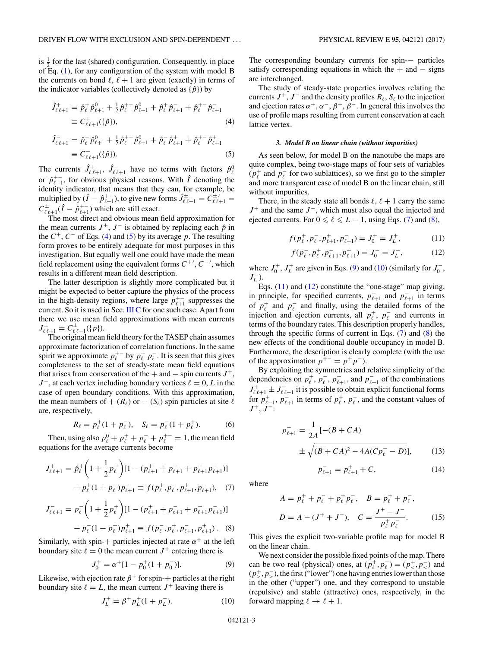<span id="page-2-0"></span>is  $\frac{1}{2}$  for the last (shared) configuration. Consequently, in place of Eq. [\(1\)](#page-0-0), for any configuration of the system with model B the currents on bond  $\ell$ ,  $\ell + 1$  are given (exactly) in terms of the indicator variables (collectively denoted as  $\{\hat{p}\}\)$  by

$$
\hat{J}_{\ell\ell+1}^{+} = \hat{p}_{\ell}^{+} \hat{p}_{\ell+1}^{0} + \frac{1}{2} \hat{p}_{\ell}^{+} \hat{p}_{\ell+1}^{0} + \hat{p}_{\ell}^{+} \hat{p}_{\ell+1}^{-} + \hat{p}_{\ell}^{+} \hat{p}_{\ell+1}^{-}
$$
\n
$$
\equiv C_{\ell\ell+1}^{+}(\{\hat{p}\}),\tag{4}
$$

$$
\hat{J}_{\ell\ell+1}^- = \hat{p}_{\ell}^- \hat{p}_{\ell+1}^0 + \frac{1}{2} \hat{p}_{\ell}^+ \hat{p}_{\ell+1}^0 + \hat{p}_{\ell}^- \hat{p}_{\ell+1}^+ + \hat{p}_{\ell}^+ \hat{p}_{\ell+1}^+ \n\equiv C_{\ell\ell+1}^- (\{\hat{p}\}).
$$
\n(5)

The currents  $\hat{J}_{\ell,\ell+1}^+$ ,  $\hat{J}_{\ell,\ell+1}^-$  have no terms with factors  $\hat{p}_{\ell}^0$ or  $\hat{p}_{\ell+1}^{+-}$ , for obvious physical reasons. With  $\hat{I}$  denoting the identity indicator, that means that they can, for example, be multiplied by  $(\hat{I} - \hat{p}_{\ell+1}^{+-})$ , to give new forms  $\hat{J}_{\ell \ell+1}^{\pm} = C_{\ell \ell+1}^{\pm'} =$  $C_{\ell \ell+1}^{\pm}(\hat{I} - \hat{p}_{\ell+1}^{+-})$  which are still exact.

The most direct and obvious mean field approximation for the mean currents  $J^+$ ,  $J^-$  is obtained by replacing each  $\hat{p}$  in the  $C^+$ ,  $C^-$  of Eqs. (4) and (5) by its average *p*. The resulting form proves to be entirely adequate for most purposes in this investigation. But equally well one could have made the mean field replacement using the equivalent forms *C*+ , *C*− , which results in a different mean field description.

The latter description is slightly more complicated but it might be expected to better capture the physics of the process in the high-density regions, where large  $p_{\ell+1}^{+-}$  suppresses the current. So it is used in Sec. [III C](#page-5-0) for one such case. Apart from there we use mean field approximations with mean currents  $J_{\ell \ell+1}^{\pm} = C_{\ell \ell+1}^{\pm}(\{p\}).$ 

The original mean field theory for the TASEP chain assumes approximate factorization of correlation functions. In the same spirit we approximate  $p_{\ell}^{+}$  by  $p_{\ell}^{+}$   $p_{\ell}^{-}$ . It is seen that this gives completeness to the set of steady-state mean field equations that arises from conservation of the  $+$  and  $-$  spin currents  $J^{+}$ ,  $J^-$ , at each vertex including boundary vertices  $\ell = 0, L$  in the case of open boundary conditions. With this approximation, the mean numbers of  $+(R_\ell)$  or  $-(S_\ell)$  spin particles at site  $\ell$ are, respectively,

$$
R_{\ell} = p_{\ell}^+(1 + p_{\ell}^-), \quad S_{\ell} = p_{\ell}^-(1 + p_{\ell}^+). \tag{6}
$$

Then, using also  $p_{\ell}^0 + p_{\ell}^+ + p_{\ell}^- + p_{\ell}^{+-} = 1$ , the mean field equations for the average currents become

$$
J_{\ell\ell+1}^{+} = \hat{p}_{\ell}^{+} \left( 1 + \frac{1}{2} p_{\ell}^{-} \right) [1 - (p_{\ell+1}^{+} + p_{\ell+1}^{-} + p_{\ell+1}^{+} p_{\ell+1}^{-})] + p_{\ell}^{+} (1 + p_{\ell}^{-}) p_{\ell+1}^{-} \equiv f(p_{\ell}^{+}, p_{\ell}^{-}, p_{\ell+1}^{+}, p_{\ell+1}^{-}), \quad (7)
$$

$$
J_{\ell\ell+1}^- = p_{\ell}^- \left( 1 + \frac{1}{2} p_{\ell}^+ \right) [1 - (p_{\ell+1}^+ + p_{\ell+1}^- + p_{\ell+1}^+ p_{\ell+1}^-)]
$$
  
+ 
$$
p_{\ell}^- (1 + p_{\ell}^+) p_{\ell+1}^+ = f(p_{\ell}^-, p_{\ell}^+, p_{\ell+1}^-, p_{\ell+1}^+)
$$
 (8)

Similarly, with spin-+ particles injected at rate  $\alpha^+$  at the left boundary site  $\ell = 0$  the mean current  $J^+$  entering there is

$$
J_0^+ = \alpha^+ [1 - p_0^+(1 + p_0^-)]. \tag{9}
$$

Likewise, with ejection rate  $\beta^+$  for spin-+ particles at the right boundary site  $\ell = L$ , the mean current  $J^+$  leaving there is

$$
J_L^+ = \beta^+ p_L^+ (1 + p_L^-). \tag{10}
$$

The corresponding boundary currents for spin-− particles satisfy corresponding equations in which the  $+$  and  $-$  signs are interchanged.

The study of steady-state properties involves relating the currents  $J^+$ ,  $J^-$  and the density profiles  $R_\ell$ ,  $S_\ell$  to the injection and ejection rates  $\alpha^+$ ,  $\alpha^-$ ,  $\beta^+$ ,  $\beta^-$ . In general this involves the use of profile maps resulting from current conservation at each lattice vertex.

#### *3. Model B on linear chain (without impurities)*

As seen below, for model B on the nanotube the maps are quite complex, being two-stage maps of four sets of variables  $(p_\ell^+$  and  $p_\ell^-$  for two sublattices), so we first go to the simpler and more transparent case of model B on the linear chain, still without impurities.

There, in the steady state all bonds  $\ell$ ,  $\ell + 1$  carry the same *J*<sup>+</sup> and the same *J*<sup>−</sup>, which must also equal the injected and ejected currents. For  $0 \le \ell \le L - 1$ , using Eqs. (7) and (8),

$$
f(p_{\ell}^{+}, p_{\ell}^{-}, p_{\ell+1}^{+}, p_{\ell+1}^{-}) = J_0^{+} = J_L^{+},
$$
 (11)

$$
f(p_{\ell}^-, p_{\ell}^+, p_{\ell+1}^-, p_{\ell+1}^+) = J_0^- = J_L^-, \tag{12}
$$

where  $J_0^+$ ,  $J_L^+$  are given in Eqs. (9) and (10) (similarly for  $J_0^-$ , *J*<sub>*L*</sub> ).

Eqs.  $(11)$  and  $(12)$  constitute the "one-stage" map giving, in principle, for specified currents,  $p_{\ell+1}^+$  and  $p_{\ell+1}^-$  in terms of  $p_\ell^+$  and  $p_\ell^-$  and finally, using the detailed forms of the injection and ejection currents, all  $p_\ell^+$ ,  $p_\ell^-$  and currents in terms of the boundary rates. This description properly handles, through the specific forms of current in Eqs.  $(7)$  and  $(8)$  the new effects of the conditional double occupancy in model B. Furthermore, the description is clearly complete (with the use of the approximation  $p^{+-} = p^+p^-$ ).

By exploiting the symmetries and relative simplicity of the dependencies on  $p_\ell^+$ ,  $p_\ell^-$ ,  $p_{\ell+1}^+$ , and  $p_{\ell+1}^-$  of the combinations  $J_{\ell \ell+1}^+ \pm J_{\ell \ell+1}^-$  it is possible to obtain explicit functional forms for  $p_{\ell+1}^+$ ,  $p_{\ell+1}^-$  in terms of  $p_{\ell}^+$ ,  $p_{\ell}^-$ , and the constant values of  $J^+$ ,  $J^-$ :

$$
p_{\ell+1}^{+} = \frac{1}{2A} [-(B + CA)
$$
  
 
$$
\pm \sqrt{(B + CA)^{2} - 4A(Cp_{\ell}^{-} - D)}],
$$
 (13)

$$
p_{\ell+1}^- = p_{\ell+1}^+ + C,\tag{14}
$$

where

$$
A = p_{\ell}^{+} + p_{\ell}^{-} + p_{\ell}^{+} p_{\ell}^{-}, \quad B = p_{\ell}^{+} + p_{\ell}^{-},
$$
  

$$
D = A - (J^{+} + J^{-}), \quad C = \frac{J^{+} - J^{-}}{p_{\ell}^{+} p_{\ell}^{-}}.
$$
 (15)

This gives the explicit two-variable profile map for model B on the linear chain.

We next consider the possible fixed points of the map. There can be two real (physical) ones, at  $(\vec{p}_\ell^+, \vec{p}_\ell^-) = (\vec{p}_\prec^+, \vec{p}_\prec^-)$  and  $(p^+_{>} , p^-_{>} )$ , the first ("lower") one having entries lower than those in the other ("upper") one, and they correspond to unstable (repulsive) and stable (attractive) ones, respectively, in the forward mapping  $\ell \rightarrow \ell + 1$ .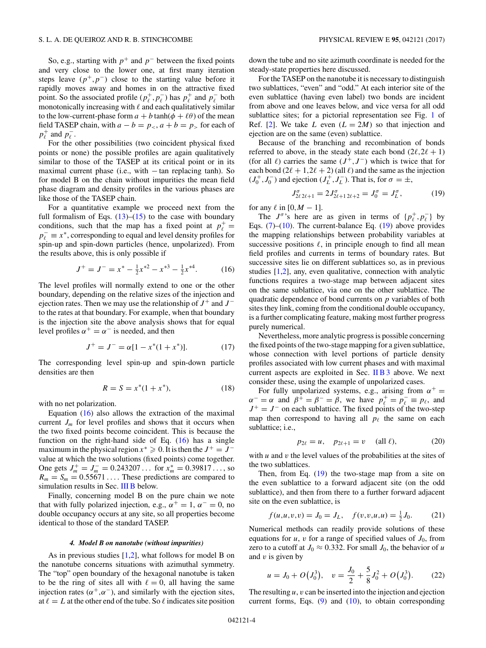<span id="page-3-0"></span>So, e.g., starting with  $p^+$  and  $p^-$  between the fixed points and very close to the lower one, at first many iteration steps leave  $(p^+, p^-)$  close to the starting value before it rapidly moves away and homes in on the attractive fixed point. So the associated profile ( $p_\ell^+, p_\ell^-$ ) has  $p_\ell^+$  and  $p_\ell^-$  both monotonically increasing with  $\ell$  and each qualitatively similar to the low-current-phase form  $a + b \tanh(\phi + \ell\theta)$  of the mean field TASEP chain, with  $a - b = p_<, a + b = p_>$  for each of  $p_{\ell}^+$  and  $p_{\ell}^-$ .

For the other possibilities (two coincident physical fixed points or none) the possible profiles are again qualitatively similar to those of the TASEP at its critical point or in its maximal current phase (i.e., with − tan replacing tanh). So for model B on the chain without impurities the mean field phase diagram and density profiles in the various phases are like those of the TASEP chain.

For a quantitative example we proceed next from the full formalism of Eqs.  $(13)$ – $(15)$  to the case with boundary conditions, such that the map has a fixed point at  $p_\ell^+$  $p_{\ell}^ \equiv$  *x*<sup>∗</sup>, corresponding to equal and level density profiles for spin-up and spin-down particles (hence, unpolarized). From the results above, this is only possible if

$$
J^{+} = J^{-} = x^{*} - \frac{1}{2}x^{*2} - x^{*3} - \frac{1}{2}x^{*4}.
$$
 (16)

The level profiles will normally extend to one or the other boundary, depending on the relative sizes of the injection and ejection rates. Then we may use the relationship of  $J^+$  and  $J^$ to the rates at that boundary. For example, when that boundary is the injection site the above analysis shows that for equal level profiles  $\alpha^+ = \alpha^-$  is needed, and then

$$
J^{+} = J^{-} = \alpha [1 - x^{*}(1 + x^{*})]. \tag{17}
$$

The corresponding level spin-up and spin-down particle densities are then

$$
R = S = x^*(1 + x^*),
$$
 (18)

with no net polarization.

Equation (16) also allows the extraction of the maximal current  $J_m$  for level profiles and shows that it occurs when the two fixed points become coincident. This is because the function on the right-hand side of Eq.  $(16)$  has a single maximum in the physical region  $x^* \ge 0$ . It is then the  $J^+ = J^$ value at which the two solutions (fixed points) come together. One gets  $J_m^+ = J_m^- = 0.243207...$  for  $x_m^* = 0.39817...$ , so  $R_m = S_m = 0.55671...$  These predictions are compared to simulation results in Sec. [III B](#page-5-0) below.

Finally, concerning model B on the pure chain we note that with fully polarized injection, e.g.,  $\alpha^+ = 1$ ,  $\alpha^- = 0$ , no double occupancy occurs at any site, so all properties become identical to those of the standard TASEP.

#### *4. Model B on nanotube (without impurities)*

As in previous studies  $[1,2]$ , what follows for model B on the nanotube concerns situations with azimuthal symmetry. The "top" open boundary of the hexagonal nanotube is taken to be the ring of sites all with  $\ell = 0$ , all having the same injection rates  $(\alpha^+, \alpha^-)$ , and similarly with the ejection sites, at  $\ell = L$  at the other end of the tube. So  $\ell$  indicates site position

down the tube and no site azimuth coordinate is needed for the steady-state properties here discussed.

For the TASEP on the nanotube it is necessary to distinguish two sublattices, "even" and "odd." At each interior site of the even sublattice (having even label) two bonds are incident from above and one leaves below, and vice versa for all odd sublattice sites; for a pictorial representation see Fig. [1](#page-5-0) of Ref. [\[2\]](#page-10-0). We take *L* even  $(L = 2M)$  so that injection and ejection are on the same (even) sublattice.

Because of the branching and recombination of bonds referred to above, in the steady state each bond  $(2\ell, 2\ell + 1)$ (for all  $\ell$ ) carries the same  $(J^+, J^-)$  which is twice that for each bond  $(2\ell + 1, 2\ell + 2)$  (all  $\ell$ ) and the same as the injection  $(J_0^+, J_0^-)$  and ejection  $(J_L^+, J_L^-)$ . That is, for  $\sigma = \pm$ ,

$$
J_{2\ell\,2\ell+1}^{\sigma} = 2J_{2\ell+1\,2\ell+2}^{\sigma} = J_0^{\sigma} = J_L^{\sigma},\tag{19}
$$

for any  $\ell$  in  $[0, M - 1]$ .

The  $J^{\sigma}$ 's here are as given in terms of  $\{p_{\ell}^+, p_{\ell}^-\}$  by Eqs.  $(7)-(10)$  $(7)-(10)$  $(7)-(10)$ . The current-balance Eq.  $(19)$  above provides the mapping relationships between probability variables at successive positions  $\ell$ , in principle enough to find all mean field profiles and currents in terms of boundary rates. But successive sites lie on different sublattices so, as in previous studies [\[1,2\]](#page-10-0), any, even qualitative, connection with analytic functions requires a two-stage map between adjacent sites on the same sublattice, via one on the other sublattice. The quadratic dependence of bond currents on *p* variables of both sites they link, coming from the conditional double occupancy, is a further complicating feature, making most further progress purely numerical.

Nevertheless, more analytic progress is possible concerning the fixed points of the two-stage mapping for a given sublattice, whose connection with level portions of particle density profiles associated with low current phases and with maximal current aspects are exploited in Sec. IIB 3 above. We next consider these, using the example of unpolarized cases.

For fully unpolarized systems, e.g., arising from  $\alpha^+$  =  $\alpha^{-} = \alpha$  and  $\beta^{+} = \beta^{-} = \beta$ , we have  $p_{\ell}^{+} = p_{\ell}^{-} \equiv p_{\ell}$ , and *J*<sup>+</sup> = *J*<sup>−</sup> on each sublattice. The fixed points of the two-step map then correspond to having all  $p_{\ell}$  the same on each sublattice; i.e.,

$$
p_{2\ell} = u, \quad p_{2\ell+1} = v \quad \text{(all } \ell), \tag{20}
$$

with *u* and *v* the level values of the probabilities at the sites of the two sublattices.

Then, from Eq.  $(19)$  the two-stage map from a site on the even sublattice to a forward adjacent site (on the odd sublattice), and then from there to a further forward adjacent site on the even sublattice, is

$$
f(u, u, v, v) = J_0 = J_L, \quad f(v, v, u, u) = \frac{1}{2} J_0.
$$
 (21)

Numerical methods can readily provide solutions of these equations for  $u$ ,  $v$  for a range of specified values of  $J_0$ , from zero to a cutoff at  $J_0 \approx 0.332$ . For small  $J_0$ , the behavior of *u* and *v* is given by

$$
u = J_0 + O(J_0^3), \quad v = \frac{J_0}{2} + \frac{5}{8}J_0^2 + O(J_0^3).
$$
 (22)

The resulting  $u$ ,  $v$  can be inserted into the injection and ejection current forms, Eqs.  $(9)$  and  $(10)$ , to obtain corresponding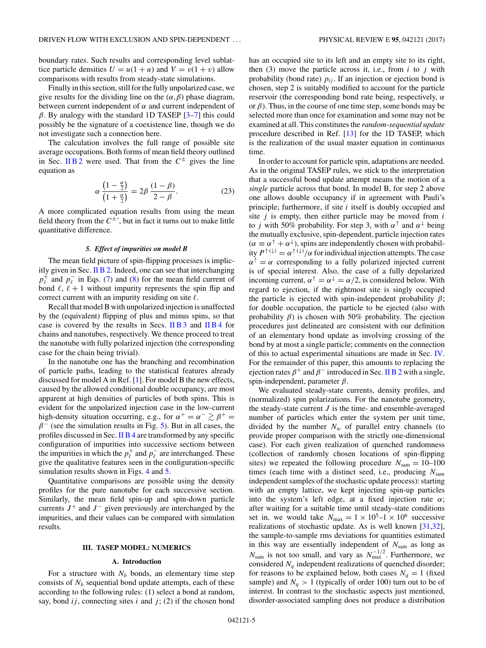<span id="page-4-0"></span>boundary rates. Such results and corresponding level sublattice particle densities  $U = u(1 + u)$  and  $V = v(1 + v)$  allow comparisons with results from steady-state simulations.

Finally in this section, still for the fully unpolarized case, we give results for the dividing line on the  $(\alpha, \beta)$  phase diagram, between current independent of *α* and current independent of *β*. By analogy with the standard 1D TASEP [\[3–7\]](#page-10-0) this could possibly be the signature of a coexistence line, though we do not investigate such a connection here.

The calculation involves the full range of possible site average occupations. Both forms of mean field theory outlined in Sec. [II B 2](#page-1-0) were used. That from the  $C^{\pm}$  gives the line equation as

$$
\alpha \frac{\left(1 - \frac{\alpha}{2}\right)}{\left(1 + \frac{\alpha}{2}\right)} = 2\beta \frac{\left(1 - \beta\right)}{2 - \beta}.\tag{23}
$$

A more complicated equation results from using the mean field theory from the  $C^{\pm}$ ', but in fact it turns out to make little quantitative difference.

### *5. Effect of impurities on model B*

The mean field picture of spin-flipping processes is implicitly given in Sec. [II B 2.](#page-1-0) Indeed, one can see that interchanging  $p_{\ell}^{\dagger}$  and  $p_{\ell}^{-}$  in Eqs. [\(7\)](#page-2-0) and [\(8\)](#page-2-0) for the mean field current of bond  $\ell$ ,  $\ell + 1$  without impurity represents the spin flip and correct current with an impurity residing on site  $\ell$ .

Recall that model B with unpolarized injection is unaffected by the (equivalent) flipping of plus and minus spins, so that case is covered by the results in Secs. [II B 3](#page-2-0) and [II B 4](#page-3-0) for chains and nanotubes, respectively. We thence proceed to treat the nanotube with fully polarized injection (the corresponding case for the chain being trivial).

In the nanotube one has the branching and recombination of particle paths, leading to the statistical features already discussed for model A in Ref. [\[1\]](#page-10-0). For model B the new effects, caused by the allowed conditional double occupancy, are most apparent at high densities of particles of both spins. This is evident for the unpolarized injection case in the low-current high-density situation occurring, e.g., for  $\alpha^+ = \alpha^- \gtrsim \beta^+ =$  $\beta$ <sup>−</sup> (see the simulation results in Fig. [5\)](#page-7-0). But in all cases, the profiles discussed in Sec. [II B 4](#page-3-0) are transformed by any specific configuration of impurities into successive sections between the impurities in which the  $p_t^+$  and  $p_t^-$  are interchanged. These give the qualitative features seen in the configuration-specific simulation results shown in Figs. [4](#page-7-0) and [5.](#page-7-0)

Quantitative comparisons are possible using the density profiles for the pure nanotube for each successive section. Similarly, the mean field spin-up and spin-down particle currents  $J^+$  and  $J^-$  given previously are interchanged by the impurities, and their values can be compared with simulation results.

#### **III. TASEP MODEL: NUMERICS**

### **A. Introduction**

For a structure with  $N_b$  bonds, an elementary time step consists of  $N_b$  sequential bond update attempts, each of these according to the following rules: (1) select a bond at random, say, bond  $ij$ , connecting sites  $i$  and  $j$ ; (2) if the chosen bond has an occupied site to its left and an empty site to its right, then (3) move the particle across it, i.e., from  $i$  to  $j$  with probability (bond rate)  $p_{ij}$ . If an injection or ejection bond is chosen, step 2 is suitably modified to account for the particle reservoir (the corresponding bond rate being, respectively, *α* or  $\beta$ ). Thus, in the course of one time step, some bonds may be selected more than once for examination and some may not be examined at all. This constitutes the *random-sequential update* procedure described in Ref. [\[13\]](#page-10-0) for the 1D TASEP, which is the realization of the usual master equation in continuous time.

In order to account for particle spin, adaptations are needed. As in the original TASEP rules, we stick to the interpretation that a successful bond update attempt means the motion of a *single* particle across that bond. In model B, for step 2 above one allows double occupancy if in agreement with Pauli's principle; furthermore, if site *i* itself is doubly occupied and site *j* is empty, then either particle may be moved from *i* to *j* with 50% probability. For step 3, with  $\alpha^{\uparrow}$  and  $\alpha^{\downarrow}$  being the mutually exclusive, spin-dependent, particle injection rates  $(\alpha \equiv \alpha^{\uparrow} + \alpha^{\downarrow})$ , spins are independently chosen with probability  $P^{\uparrow(\downarrow)} = \alpha^{\uparrow(\downarrow)} / \alpha$  for individual injection attempts. The case  $\alpha^{\uparrow} = \alpha$  corresponding to a fully polarized injected current is of special interest. Also, the case of a fully depolarized incoming current,  $\alpha^{\uparrow} = \alpha^{\downarrow} = \alpha/2$ , is considered below. With regard to ejection, if the rightmost site is singly occupied the particle is ejected with spin-independent probability *β*; for double occupation, the particle to be ejected (also with probability  $\beta$ ) is chosen with 50% probability. The ejection procedures just delineated are consistent with our definition of an elementary bond update as involving crossing of the bond by at most a single particle; comments on the connection of this to actual experimental situations are made in Sec. [IV.](#page-9-0) For the remainder of this paper, this amounts to replacing the ejection rates  $\beta$ <sup>+</sup> and  $\beta$ <sup>-</sup> introduced in Sec. [II B 2](#page-1-0) with a single, spin-independent, parameter *β*.

We evaluated steady-state currents, density profiles, and (normalized) spin polarizations. For the nanotube geometry, the steady-state current  $J$  is the time- and ensemble-averaged number of particles which enter the system per unit time, divided by the number  $N_w$  of parallel entry channels (to provide proper comparison with the strictly one-dimensional case). For each given realization of quenched randomness (collection of randomly chosen locations of spin-flipping sites) we repeated the following procedure  $N_{\text{sam}} = 10{\text -}100$ times (each time with a distinct seed, i.e., producing  $N_{\text{sam}}$ independent samples of the stochastic update process): starting with an empty lattice, we kept injecting spin-up particles into the system's left edge, at a fixed injection rate *α*; after waiting for a suitable time until steady-state conditions set in, we would take  $N_{\text{max}} = 1 \times 10^5 - 1 \times 10^6$  successive realizations of stochastic update. As is well known [\[31,32\]](#page-11-0), the sample-to-sample rms deviations for quantities estimated in this way are essentially independent of *N*sam as long as  $N_{\text{sam}}$  is not too small, and vary as  $N_{\text{max}}^{-1/2}$ . Furthermore, we considered  $N_q$  independent realizations of quenched disorder; for reasons to be explained below, both cases  $N_q = 1$  (fixed sample) and  $N_q > 1$  (typically of order 100) turn out to be of interest. In contrast to the stochastic aspects just mentioned, disorder-associated sampling does not produce a distribution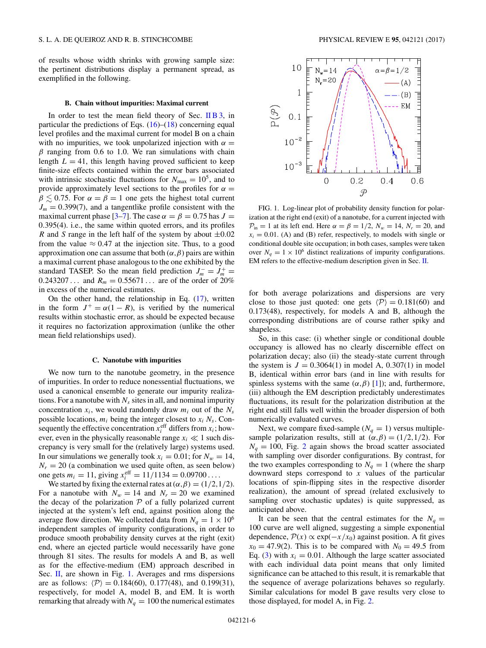<span id="page-5-0"></span>of results whose width shrinks with growing sample size: the pertinent distributions display a permanent spread, as exemplified in the following.

#### **B. Chain without impurities: Maximal current**

In order to test the mean field theory of Sec. [II B 3,](#page-2-0) in particular the predictions of Eqs.  $(16)$ – $(18)$  concerning equal level profiles and the maximal current for model B on a chain with no impurities, we took unpolarized injection with  $\alpha =$ *β* ranging from 0.6 to 1.0. We ran simulations with chain length  $L = 41$ , this length having proved sufficient to keep finite-size effects contained within the error bars associated with intrinsic stochastic fluctuations for  $N_{\text{max}} = 10^5$ , and to provide approximately level sections to the profiles for  $\alpha =$  $\beta \lesssim 0.75$ . For  $\alpha = \beta = 1$  one gets the highest total current  $J_m = 0.399(7)$ , and a tangentlike profile consistent with the maximal current phase [\[3–7\]](#page-10-0). The case  $\alpha = \beta = 0.75$  has  $J =$ 0*.*395(4). i.e., the same within quoted errors, and its profiles *R* and *S* range in the left half of the system by about ±0*.*02 from the value  $\approx 0.47$  at the injection site. Thus, to a good approximation one can assume that both  $(\alpha, \beta)$  pairs are within a maximal current phase analogous to the one exhibited by the standard TASEP. So the mean field prediction  $J_m^- = J_m^+ =$  $0.243207...$  and  $R_m = 0.55671...$  are of the order of 20% in excess of the numerical estimates.

On the other hand, the relationship in Eq.  $(17)$ , written in the form  $J^+ = \alpha(1 - R)$ , is verified by the numerical results within stochastic error, as should be expected because it requires no factorization approximation (unlike the other mean field relationships used).

# **C. Nanotube with impurities**

We now turn to the nanotube geometry, in the presence of impurities. In order to reduce nonessential fluctuations, we used a canonical ensemble to generate our impurity realizations. For a nanotube with  $N<sub>s</sub>$  sites in all, and nominal impurity concentration  $x_i$ , we would randomly draw  $m_i$  out of the  $N_s$ possible locations, *mi* being the integer closest to *xi Ns*. Consequently the effective concentration  $x_i^{\text{eff}}$  differs from  $x_i$ ; however, even in the physically reasonable range  $x_i \ll 1$  such discrepancy is very small for the (relatively large) systems used. In our simulations we generally took  $x_i = 0.01$ ; for  $N_w = 14$ ,  $N_r = 20$  (a combination we used quite often, as seen below) one gets  $m_i = 11$ , giving  $x_i^{\text{eff}} = 11/1134 = 0.09700...$ 

We started by fixing the external rates at  $(\alpha, \beta) = (1/2, 1/2)$ . For a nanotube with  $N_w = 14$  and  $N_r = 20$  we examined the decay of the polarization  $P$  of a fully polarized current injected at the system's left end, against position along the average flow direction. We collected data from  $N_q = 1 \times 10^6$ independent samples of impurity configurations, in order to produce smooth probability density curves at the right (exit) end, where an ejected particle would necessarily have gone through 81 sites. The results for models A and B, as well as for the effective-medium (EM) approach described in Sec. [II,](#page-0-0) are shown in Fig. 1. Averages and rms dispersions are as follows:  $\langle \mathcal{P} \rangle = 0.184(60), 0.177(48),$  and 0.199(31), respectively, for model A, model B, and EM. It is worth remarking that already with  $N_q = 100$  the numerical estimates



FIG. 1. Log-linear plot of probability density function for polarization at the right end (exit) of a nanotube, for a current injected with  $\mathcal{P}_{in} = 1$  at its left end. Here  $\alpha = \beta = 1/2$ ,  $N_w = 14$ ,  $N_r = 20$ , and  $x_i = 0.01$ . (A) and (B) refer, respectively, to models with single or conditional double site occupation; in both cases, samples were taken over  $N_a = 1 \times 10^6$  distinct realizations of impurity configurations. EM refers to the effective-medium description given in Sec. [II.](#page-0-0)

for both average polarizations and dispersions are very close to those just quoted: one gets  $\langle \mathcal{P} \rangle = 0.181(60)$  and 0.173(48), respectively, for models A and B, although the corresponding distributions are of course rather spiky and shapeless.

So, in this case: (i) whether single or conditional double occupancy is allowed has no clearly discernible effect on polarization decay; also (ii) the steady-state current through the system is  $J = 0.3064(1)$  in model A,  $0.307(1)$  in model B, identical within error bars (and in line with results for spinless systems with the same  $(α, β)$  [\[1\]](#page-10-0)); and, furthermore, (iii) although the EM description predictably underestimates fluctuations, its result for the polarization distribution at the right end still falls well within the broader dispersion of both numerically evaluated curves.

Next, we compare fixed-sample  $(N_q = 1)$  versus multiplesample polarization results, still at  $(\alpha, \beta) = (1/2, 1/2)$ . For  $N_a = 100$ , Fig. [2](#page-6-0) again shows the broad scatter associated with sampling over disorder configurations. By contrast, for the two examples corresponding to  $N_q = 1$  (where the sharp downward steps correspond to *x* values of the particular locations of spin-flipping sites in the respective disorder realization), the amount of spread (related exclusively to sampling over stochastic updates) is quite suppressed, as anticipated above.

It can be seen that the central estimates for the  $N_q =$ 100 curve are well aligned, suggesting a simple exponential dependence,  $\mathcal{P}(x) \propto \exp(-x/x_0)$  against position. A fit gives  $x_0 = 47.9(2)$ . This is to be compared with  $N_0 = 49.5$  from Eq. [\(3\)](#page-1-0) with  $x_i = 0.01$ . Although the large scatter associated with each individual data point means that only limited significance can be attached to this result, it is remarkable that the sequence of average polarizations behaves so regularly. Similar calculations for model B gave results very close to those displayed, for model A, in Fig. [2.](#page-6-0)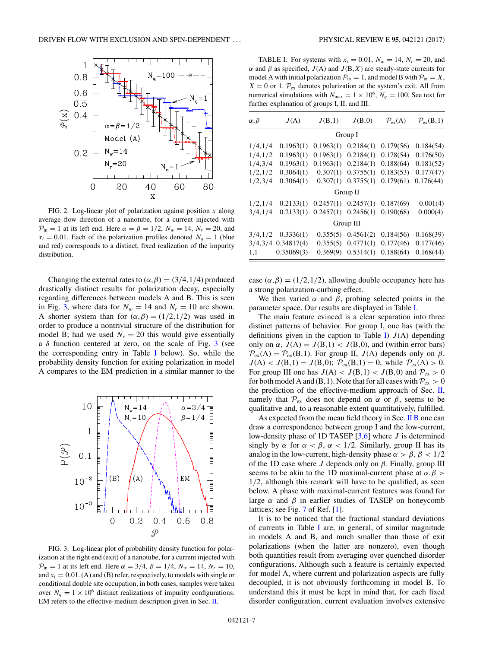<span id="page-6-0"></span>

FIG. 2. Log-linear plot of polarization against position *x* along average flow direction of a nanotube, for a current injected with  $\mathcal{P}_{in} = 1$  at its left end. Here  $\alpha = \beta = 1/2$ ,  $N_w = 14$ ,  $N_r = 20$ , and  $x_i = 0.01$ . Each of the polarization profiles denoted  $N_a = 1$  (blue and red) corresponds to a distinct, fixed realization of the impurity distribution.

Changing the external rates to  $(\alpha, \beta) = (3/4, 1/4)$  produced drastically distinct results for polarization decay, especially regarding differences between models A and B. This is seen in Fig. 3, where data for  $N_w = 14$  and  $N_r = 10$  are shown. A shorter system than for  $(\alpha, \beta) = (1/2, 1/2)$  was used in order to produce a nontrivial structure of the distribution for model B; had we used  $N_r = 20$  this would give essentially a  $\delta$  function centered at zero, on the scale of Fig. 3 (see the corresponding entry in Table I below). So, while the probability density function for exiting polarization in model A compares to the EM prediction in a similar manner to the



FIG. 3. Log-linear plot of probability density function for polarization at the right end (exit) of a nanotube, for a current injected with  $P_{in} = 1$  at its left end. Here  $\alpha = 3/4$ ,  $\beta = 1/4$ ,  $N_w = 14$ ,  $N_r = 10$ , and  $x_i = 0.01$ . (A) and (B) refer, respectively, to models with single or conditional double site occupation; in both cases, samples were taken over  $N_q = 1 \times 10^6$  distinct realizations of impurity configurations. EM refers to the effective-medium description given in Sec. [II.](#page-0-0)

TABLE I. For systems with  $x_i = 0.01$ ,  $N_w = 14$ ,  $N_r = 20$ , and *α* and *β* as specified,  $J(A)$  and  $J(B, X)$  are steady-state currents for model A with initial polarization  $P_{in} = 1$ , and model B with  $P_{in} = X$ ,  $X = 0$  or 1.  $\mathcal{P}_{ex}$  denotes polarization at the system's exit. All from numerical simulations with  $N_{\text{max}} = 1 \times 10^6$ ,  $N_q = 100$ . See text for further explanation of groups I, II, and III.

| $\alpha, \beta$ | J(A)       | J(B,1)    | J(B,0)    | $\mathcal{P}_{\rm ex}(A)$ | $\mathcal{P}_{\rm ex}$ (B, 1) |  |
|-----------------|------------|-----------|-----------|---------------------------|-------------------------------|--|
| Group I         |            |           |           |                           |                               |  |
| 1/4, 1/4        | 0.1963(1)  | 0.1963(1) | 0.2184(1) | 0.179(56)                 | 0.184(54)                     |  |
| 1/4, 1/2        | 0.1963(1)  | 0.1963(1) | 0.2184(1) | 0.178(54)                 | 0.176(50)                     |  |
| 1/4,3/4         | 0.1963(1)  | 0.1963(1) | 0.2184(1) | 0.188(64)                 | 0.181(52)                     |  |
| 1/2, 1/2        | 0.3064(1)  | 0.307(1)  | 0.3755(1) | 0.183(53)                 | 0.177(47)                     |  |
| 1/2,3/4         | 0.3064(1)  | 0.307(1)  | 0.3755(1) | 0.179(61)                 | 0.176(44)                     |  |
| Group II        |            |           |           |                           |                               |  |
| 1/2, 1/4        | 0.2133(1)  | 0.2457(1) | 0.2457(1) | 0.187(69)                 | 0.001(4)                      |  |
| 3/4, 1/4        | 0.2133(1)  | 0.2457(1) | 0.2456(1) | 0.190(68)                 | 0.000(4)                      |  |
| Group III       |            |           |           |                           |                               |  |
| 3/4, 1/2        | 0.3336(1)  | 0.355(5)  | 0.4561(2) | 0.184(56)                 | 0.168(39)                     |  |
| 3/4,3/4         | 0.34817(4) | 0.355(5)  | 0.4771(1) | 0.177(46)                 | 0.177(46)                     |  |
| 1,1             | 0.35069(3) | 0.369(9)  | 0.5314(1) | 0.188(64)                 | 0.168(44)                     |  |

case  $(\alpha, \beta) = (1/2, 1/2)$ , allowing double occupancy here has a strong polarization-curbing effect.

We then varied  $\alpha$  and  $\beta$ , probing selected points in the parameter space. Our results are displayed in Table I.

The main feature evinced is a clear separation into three distinct patterns of behavior. For group I, one has (with the definitions given in the caption to Table I)  $J(A)$  depending only on *α*,  $J(A) = J(B,1) < J(B,0)$ , and (within error bars)  $\mathcal{P}_{ex}(A) = \mathcal{P}_{ex}(B,1)$ . For group II,  $J(A)$  depends only on  $\beta$ ,  $J(A) < J(B,1) = J(B,0);$   $\mathcal{P}_{ex}(B,1) = 0$ , while  $\mathcal{P}_{ex}(A) > 0$ . For group III one has  $J(A) < J(B,1) < J(B,0)$  and  $P_{ex} > 0$ for both model A and (B, 1). Note that for all cases with  $P_{ex} > 0$ the prediction of the effective-medium approach of Sec.  $II$ , namely that  $\mathcal{P}_{ex}$  does not depend on  $\alpha$  or  $\beta$ , seems to be qualitative and, to a reasonable extent quantitatively, fulfilled.

As expected from the mean field theory in Sec. [II B](#page-1-0) one can draw a correspondence between group I and the low-current, low-density phase of 1D TASEP [\[3,6\]](#page-10-0) where *J* is determined singly by  $\alpha$  for  $\alpha < \beta$ ,  $\alpha < 1/2$ . Similarly, group II has its analog in the low-current, high-density phase  $\alpha > \beta$ ,  $\beta < 1/2$ of the 1D case where *J* depends only on *β*. Finally, group III seems to be akin to the 1D maximal-current phase at *α,β >* 1*/*2, although this remark will have to be qualified, as seen below. A phase with maximal-current features was found for large  $\alpha$  and  $\beta$  in earlier studies of TASEP on honeycomb lattices; see Fig. [7](#page-8-0) of Ref. [\[1\]](#page-10-0).

It is to be noticed that the fractional standard deviations of currents in Table I are, in general, of similar magnitude in models A and B, and much smaller than those of exit polarizations (when the latter are nonzero), even though both quantities result from averaging over quenched disorder configurations. Although such a feature is certainly expected for model A, where current and polarization aspects are fully decoupled, it is not obviously forthcoming in model B. To understand this it must be kept in mind that, for each fixed disorder configuration, current evaluation involves extensive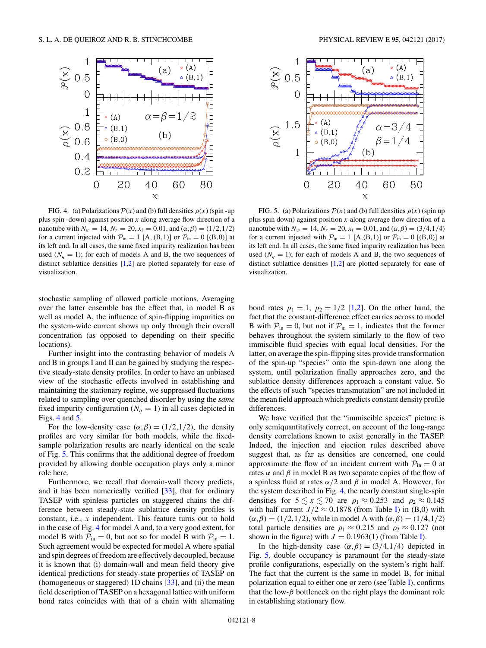<span id="page-7-0"></span>

FIG. 4. (a) Polarizations  $\mathcal{P}(x)$  and (b) full densities  $\rho(x)$  (spin-up plus spin -down) against position *x* along average flow direction of a nanotube with  $N_w = 14$ ,  $N_r = 20$ ,  $x_i = 0.01$ , and  $(\alpha, \beta) = (1/2, 1/2)$ for a current injected with  $P_{in} = 1$  [A, (B, 1)] or  $P_{in} = 0$  [(B, 0)] at its left end. In all cases, the same fixed impurity realization has been used  $(N_q = 1)$ ; for each of models A and B, the two sequences of distinct sublattice densities [\[1,2\]](#page-10-0) are plotted separately for ease of visualization.

stochastic sampling of allowed particle motions. Averaging over the latter ensemble has the effect that, in model B as well as model A, the influence of spin-flipping impurities on the system-wide current shows up only through their overall concentration (as opposed to depending on their specific locations).

Further insight into the contrasting behavior of models A and B in groups I and II can be gained by studying the respective steady-state density profiles. In order to have an unbiased view of the stochastic effects involved in establishing and maintaining the stationary regime, we suppressed fluctuations related to sampling over quenched disorder by using the *same* fixed impurity configuration ( $N_q = 1$ ) in all cases depicted in Figs. 4 and 5.

For the low-density case  $(\alpha, \beta) = (1/2, 1/2)$ , the density profiles are very similar for both models, while the fixedsample polarization results are nearly identical on the scale of Fig. 5. This confirms that the additional degree of freedom provided by allowing double occupation plays only a minor role here.

Furthermore, we recall that domain-wall theory predicts, and it has been numerically verified [\[33\]](#page-11-0), that for ordinary TASEP with spinless particles on staggered chains the difference between steady-state sublattice density profiles is constant, i.e., *x* independent. This feature turns out to hold in the case of Fig. 4 for model A and, to a very good extent, for model B with  $P_{in} = 0$ , but not so for model B with  $P_{in} = 1$ . Such agreement would be expected for model A where spatial and spin degrees of freedom are effectively decoupled, because it is known that (i) domain-wall and mean field theory give identical predictions for steady-state properties of TASEP on (homogeneous or staggered) 1D chains [\[33\]](#page-11-0), and (ii) the mean field description of TASEP on a hexagonal lattice with uniform bond rates coincides with that of a chain with alternating



FIG. 5. (a) Polarizations  $\mathcal{P}(x)$  and (b) full densities  $\rho(x)$  (spin up plus spin down) against position *x* along average flow direction of a nanotube with  $N_w = 14$ ,  $N_r = 20$ ,  $x_i = 0.01$ , and  $(\alpha, \beta) = (3/4, 1/4)$ for a current injected with  $P_{in} = 1$  [A,(B,1)] or  $P_{in} = 0$  [(B,0)] at its left end. In all cases, the same fixed impurity realization has been used  $(N_q = 1)$ ; for each of models A and B, the two sequences of distinct sublattice densities [\[1,2\]](#page-10-0) are plotted separately for ease of visualization.

bond rates  $p_1 = 1$ ,  $p_2 = 1/2$  [\[1,2\]](#page-10-0). On the other hand, the fact that the constant-difference effect carries across to model B with  $P_{in} = 0$ , but not if  $P_{in} = 1$ , indicates that the former behaves throughout the system similarly to the flow of two immiscible fluid species with equal local densities. For the latter, on average the spin-flipping sites provide transformation of the spin-up "species" onto the spin-down one along the system, until polarization finally approaches zero, and the sublattice density differences approach a constant value. So the effects of such "species transmutation" are not included in the mean field approach which predicts constant density profile differences.

We have verified that the "immiscible species" picture is only semiquantitatively correct, on account of the long-range density correlations known to exist generally in the TASEP. Indeed, the injection and ejection rules described above suggest that, as far as densities are concerned, one could approximate the flow of an incident current with  $P_{in} = 0$  at rates  $\alpha$  and  $\beta$  in model B as two separate copies of the flow of a spinless fluid at rates *α/*2 and *β* in model A. However, for the system described in Fig. 4, the nearly constant single-spin densities for  $5 \le x \le 70$  are  $\rho_1 \approx 0.253$  and  $\rho_2 \approx 0.145$ with half current  $J/2 \approx 0.1878$  (from Table [I\)](#page-6-0) in (B,0) with (*α,β*) = (1*/*2*,*1*/*2), while in model A with (*α,β*) = (1*/*4*,*1*/*2) total particle densities are  $\rho_1 \approx 0.215$  and  $\rho_2 \approx 0.127$  (not shown in the figure) with  $J = 0.1963(1)$  (from Table [I\)](#page-6-0).

In the high-density case  $(\alpha, \beta) = (3/4, 1/4)$  depicted in Fig. 5, double occupancy is paramount for the steady-state profile configurations, especially on the system's right half. The fact that the current is the same in model B, for initial polarization equal to either one or zero (see Table [I\)](#page-6-0), confirms that the low- $\beta$  bottleneck on the right plays the dominant role in establishing stationary flow.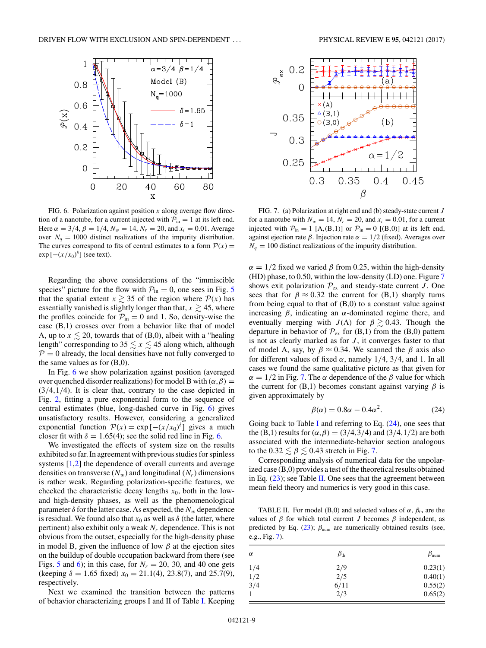<span id="page-8-0"></span>

FIG. 6. Polarization against position *x* along average flow direction of a nanotube, for a current injected with  $P_{in} = 1$  at its left end. Here  $\alpha = 3/4$ ,  $\beta = 1/4$ ,  $N_w = 14$ ,  $N_r = 20$ , and  $x_i = 0.01$ . Average over  $N_a = 1000$  distinct realizations of the impurity distribution. The curves correspond to fits of central estimates to a form  $P(x) =$  $\exp\left[-(x/x_0)^\delta\right]$  (see text).

Regarding the above considerations of the "immiscible species" picture for the flow with  $P_{in} = 0$ , one sees in Fig. [5](#page-7-0) that the spatial extent  $x \ge 35$  of the region where  $P(x)$  has essentially vanished is slightly longer than that,  $x \geq 45$ , where the profiles coincide for  $P_{in} = 0$  and 1. So, density-wise the case (B,1) crosses over from a behavior like that of model A, up to  $x \le 20$ , towards that of (B,0), albeit with a "healing length" corresponding to  $35 \le x \le 45$  along which, although  $P = 0$  already, the local densities have not fully converged to the same values as for  $(B,0)$ .

In Fig. 6 we show polarization against position (averaged over quenched disorder realizations) for model B with  $(\alpha, \beta)$  = (3*/*4*,*1*/*4). It is clear that, contrary to the case depicted in Fig. [2,](#page-6-0) fitting a pure exponential form to the sequence of central estimates (blue, long-dashed curve in Fig. 6) gives unsatisfactory results. However, considering a generalized exponential function  $\mathcal{P}(x) = \exp[-(x/x_0)^{\delta}]$  gives a much closer fit with  $\delta = 1.65(4)$ ; see the solid red line in Fig. 6.

We investigated the effects of system size on the results exhibited so far. In agreement with previous studies for spinless systems [\[1,2\]](#page-10-0) the dependence of overall currents and average densities on transverse  $(N_w)$  and longitudinal  $(N_r)$  dimensions is rather weak. Regarding polarization-specific features, we checked the characteristic decay lengths  $x_0$ , both in the lowand high-density phases, as well as the phenomenological parameter  $\delta$  for the latter case. As expected, the  $N_w$  dependence is residual. We found also that  $x_0$  as well as  $\delta$  (the latter, where pertinent) also exhibit only a weak *Nr* dependence. This is not obvious from the outset, especially for the high-density phase in model B, given the influence of low  $\beta$  at the ejection sites on the buildup of double occupation backward from there (see Figs. [5](#page-7-0) and 6); in this case, for  $N_r = 20$ , 30, and 40 one gets (keeping  $\delta = 1.65$  fixed)  $x_0 = 21.1(4)$ , 23.8(7), and 25.7(9), respectively.

Next we examined the transition between the patterns of behavior characterizing groups I and II of Table [I.](#page-6-0) Keeping



FIG. 7. (a) Polarization at right end and (b) steady-state current *J* for a nanotube with  $N_w = 14$ ,  $N_r = 20$ , and  $x_i = 0.01$ , for a current injected with  $P_{in} = 1$  [A,(B,1)] or  $P_{in} = 0$  [(B,0)] at its left end, against ejection rate  $\beta$ . Injection rate  $\alpha = 1/2$  (fixed). Averages over  $N_q = 100$  distinct realizations of the impurity distribution.

 $\alpha = 1/2$  fixed we varied  $\beta$  from 0.25, within the high-density (HD) phase, to 0.50, within the low-density (LD) one. Figure 7 shows exit polarization  $\mathcal{P}_{ex}$  and steady-state current *J*. One sees that for  $\beta \approx 0.32$  the current for (B,1) sharply turns from being equal to that of  $(B,0)$  to a constant value against increasing  $\beta$ , indicating an  $\alpha$ -dominated regime there, and eventually merging with *J*(A) for  $\beta \gtrsim 0.43$ . Though the departure in behavior of  $\mathcal{P}_{ex}$  for (B,1) from the (B,0) pattern is not as clearly marked as for *J* , it converges faster to that of model A, say, by  $\beta \approx 0.34$ . We scanned the  $\beta$  axis also for different values of fixed  $\alpha$ , namely 1/4, 3/4, and 1. In all cases we found the same qualitative picture as that given for  $\alpha = 1/2$  in Fig. 7. The  $\alpha$  dependence of the  $\beta$  value for which the current for  $(B,1)$  becomes constant against varying  $\beta$  is given approximately by

$$
\beta(\alpha) = 0.8\alpha - 0.4\alpha^2. \tag{24}
$$

Going back to Table [I](#page-6-0) and referring to Eq.  $(24)$ , one sees that the (B,1) results for ( $\alpha$ , $\beta$ ) = (3/4,3/4) and (3/4,1/2) are both associated with the intermediate-behavior section analogous to the  $0.32 \leq \beta \leq 0.43$  stretch in Fig. 7.

Corresponding analysis of numerical data for the unpolarized case (B,0) provides a test of the theoretical results obtained in Eq.  $(23)$ ; see Table II. One sees that the agreement between mean field theory and numerics is very good in this case.

TABLE II. For model (B,0) and selected values of  $\alpha$ ,  $\beta_{\text{th}}$  are the values of  $\beta$  for which total current *J* becomes  $\beta$  independent, as predicted by Eq.  $(23)$ ;  $\beta_{num}$  are numerically obtained results (see, e.g., Fig. 7).

| $\alpha$ | $\beta_{\rm th}$ | $\beta_{\rm num}$ |
|----------|------------------|-------------------|
| 1/4      | 2/9              | 0.23(1)           |
| 1/2      | 2/5              | 0.40(1)           |
| 3/4      | 6/11             | 0.55(2)           |
|          | 2/3              | 0.65(2)           |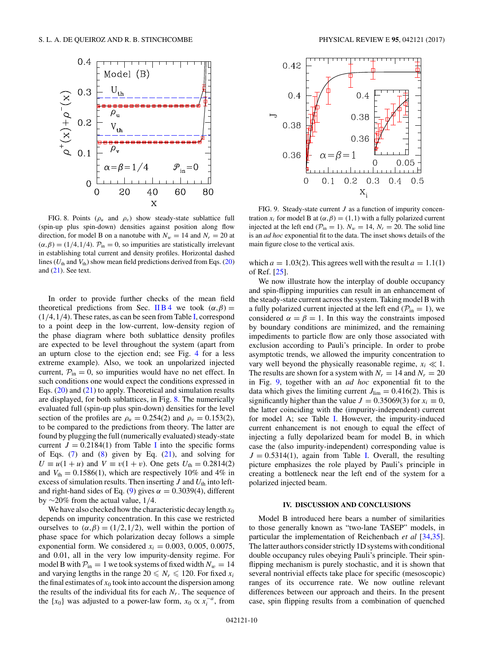<span id="page-9-0"></span>

FIG. 8. Points ( $\rho_u$  and  $\rho_v$ ) show steady-state sublattice full (spin-up plus spin-down) densities against position along flow direction, for model B on a nanotube with  $N_w = 14$  and  $N_r = 20$  at  $(\alpha, \beta) = (1/4, 1/4)$ .  $\mathcal{P}_{in} = 0$ , so impurities are statistically irrelevant in establishing total current and density profiles. Horizontal dashed lines ( $U_{\text{th}}$  and  $V_{\text{th}}$ ) show mean field predictions derived from Eqs. [\(20\)](#page-3-0) and [\(21\)](#page-3-0). See text.

In order to provide further checks of the mean field theoretical predictions from Sec. [II B 4](#page-3-0) we took  $(\alpha, \beta)$  = (1*/*4*,*1*/*4). These rates, as can be seen from Table [I,](#page-6-0) correspond to a point deep in the low-current, low-density region of the phase diagram where both sublattice density profiles are expected to be level throughout the system (apart from an upturn close to the ejection end; see Fig. [4](#page-7-0) for a less extreme example). Also, we took an unpolarized injected current,  $P_{in} = 0$ , so impurities would have no net effect. In such conditions one would expect the conditions expressed in Eqs. [\(20\)](#page-3-0) and [\(21\)](#page-3-0) to apply. Theoretical and simulation results are displayed, for both sublattices, in Fig. 8. The numerically evaluated full (spin-up plus spin-down) densities for the level section of the profiles are  $\rho_u = 0.254(2)$  and  $\rho_v = 0.153(2)$ , to be compared to the predictions from theory. The latter are found by plugging the full (numerically evaluated) steady-state current  $J = 0.2184(1)$  from Table [I](#page-6-0) into the specific forms of Eqs.  $(7)$  and  $(8)$  given by Eq.  $(21)$ , and solving for *U* ≡ *u*(1 + *u*) and *V* ≡ *v*(1 + *v*). One gets *U*<sub>th</sub> = 0.2814(2) and  $V_{\text{th}} = 0.1586(1)$ , which are respectively 10% and 4% in excess of simulation results. Then inserting  $J$  and  $U_{th}$  into left-and right-hand sides of Eq. [\(9\)](#page-2-0) gives  $\alpha = 0.3039(4)$ , different by ∼20% from the actual value, 1*/*4.

We have also checked how the characteristic decay length  $x_0$ depends on impurity concentration. In this case we restricted ourselves to  $(\alpha, \beta) = (1/2, 1/2)$ , well within the portion of phase space for which polarization decay follows a simple exponential form. We considered  $x_i = 0.003, 0.005, 0.0075$ , and 0.01, all in the very low impurity-density regime. For model B with  $P_{in} = 1$  we took systems of fixed width  $N_w = 14$ and varying lengths in the range  $20 \leq N_r \leq 120$ . For fixed  $x_i$ the final estimates of  $x_0$  took into account the dispersion among the results of the individual fits for each  $N_r$ . The sequence of the {*x*<sub>0</sub>} was adjusted to a power-law form, *x*<sub>0</sub>  $\propto$  *x*<sub>*i*</sub><sup>-*a*</sup>, from



FIG. 9. Steady-state current *J* as a function of impurity concentration  $x_i$  for model B at  $(\alpha, \beta) = (1,1)$  with a fully polarized current injected at the left end ( $\mathcal{P}_{in} = 1$ ).  $N_w = 14$ ,  $N_r = 20$ . The solid line is an *ad hoc* exponential fit to the data. The inset shows details of the main figure close to the vertical axis.

which  $a = 1.03(2)$ . This agrees well with the result  $a = 1.1(1)$ of Ref. [\[25\]](#page-11-0).

We now illustrate how the interplay of double occupancy and spin-flipping impurities can result in an enhancement of the steady-state current across the system. Taking model B with a fully polarized current injected at the left end ( $P_{in} = 1$ ), we considered  $\alpha = \beta = 1$ . In this way the constraints imposed by boundary conditions are minimized, and the remaining impediments to particle flow are only those associated with exclusion according to Pauli's principle. In order to probe asymptotic trends, we allowed the impurity concentration to vary well beyond the physically reasonable regime,  $x_i \ll 1$ . The results are shown for a system with  $N_r = 14$  and  $N_r = 20$ in Fig. 9, together with an *ad hoc* exponential fit to the data which gives the limiting current  $J_{\text{lim}} = 0.416(2)$ . This is significantly higher than the value  $J = 0.35069(3)$  for  $x_i \equiv 0$ , the latter coinciding with the (impurity-independent) current for model A; see Table [I.](#page-6-0) However, the impurity-induced current enhancement is not enough to equal the effect of injecting a fully depolarized beam for model B, in which case the (also impurity-independent) corresponding value is  $J = 0.5314(1)$ , again from Table [I.](#page-6-0) Overall, the resulting picture emphasizes the role played by Pauli's principle in creating a bottleneck near the left end of the system for a polarized injected beam.

#### **IV. DISCUSSION AND CONCLUSIONS**

Model B introduced here bears a number of similarities to those generally known as "two-lane TASEP" models, in particular the implementation of Reichenbach *et al* [\[34,35\]](#page-11-0). The latter authors consider strictly 1D systems with conditional double occupancy rules obeying Pauli's principle. Their spinflipping mechanism is purely stochastic, and it is shown that several nontrivial effects take place for specific (mesoscopic) ranges of its occurrence rate. We now outline relevant differences between our approach and theirs. In the present case, spin flipping results from a combination of quenched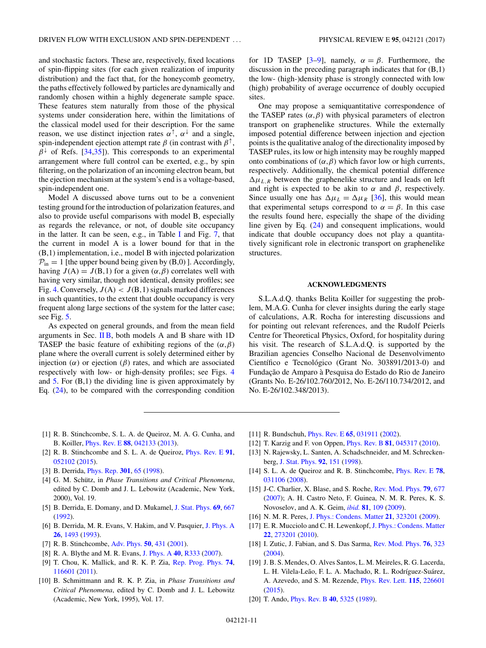<span id="page-10-0"></span>and stochastic factors. These are, respectively, fixed locations of spin-flipping sites (for each given realization of impurity distribution) and the fact that, for the honeycomb geometry, the paths effectively followed by particles are dynamically and randomly chosen within a highly degenerate sample space. These features stem naturally from those of the physical systems under consideration here, within the limitations of the classical model used for their description. For the same reason, we use distinct injection rates  $\alpha^{\uparrow}$ ,  $\alpha^{\downarrow}$  and a single, spin-independent ejection attempt rate  $\beta$  (in contrast with  $\beta^{\uparrow}$ ,  $\beta^{\downarrow}$  of Refs. [\[34,35\]](#page-11-0)). This corresponds to an experimental arrangement where full control can be exerted, e.g., by spin filtering, on the polarization of an incoming electron beam, but the ejection mechanism at the system's end is a voltage-based, spin-independent one.

Model A discussed above turns out to be a convenient testing ground for the introduction of polarization features, and also to provide useful comparisons with model B, especially as regards the relevance, or not, of double site occupancy in the latter. It can be seen, e.g., in Table [I](#page-6-0) and Fig. [7,](#page-8-0) that the current in model A is a lower bound for that in the (B,1) implementation, i.e., model B with injected polarization  $P_{in} = 1$  [the upper bound being given by (B,0)]. Accordingly, having  $J(A) = J(B,1)$  for a given  $(\alpha, \beta)$  correlates well with having very similar, though not identical, density profiles; see Fig. [4.](#page-7-0) Conversely,  $J(A) < J(B, 1)$  signals marked differences in such quantities, to the extent that double occupancy is very frequent along large sections of the system for the latter case; see Fig. [5.](#page-7-0)

As expected on general grounds, and from the mean field arguments in Sec.  $\overline{I}$  IB, both models A and B share with 1D TASEP the basic feature of exhibiting regions of the  $(\alpha, \beta)$ plane where the overall current is solely determined either by injection (*α*) or ejection (*β*) rates, and which are associated respectively with low- or high-density profiles; see Figs. [4](#page-7-0) and  $5.$  For  $(B,1)$  the dividing line is given approximately by Eq.  $(24)$ , to be compared with the corresponding condition

for 1D TASEP [3–9], namely,  $\alpha = \beta$ . Furthermore, the discussion in the preceding paragraph indicates that for (B,1) the low- (high-)density phase is strongly connected with low (high) probability of average occurrence of doubly occupied sites.

One may propose a semiquantitative correspondence of the TASEP rates  $(\alpha, \beta)$  with physical parameters of electron transport on graphenelike structures. While the externally imposed potential difference between injection and ejection points is the qualitative analog of the directionality imposed by TASEP rules, its low or high intensity may be roughly mapped onto combinations of (*α,β*) which favor low or high currents, respectively. Additionally, the chemical potential difference  $\Delta \mu_{L,R}$  between the graphenelike structure and leads on left and right is expected to be akin to  $\alpha$  and  $\beta$ , respectively. Since usually one has  $\Delta \mu_L = \Delta \mu_R$  [\[36\]](#page-11-0), this would mean that experimental setups correspond to  $\alpha = \beta$ . In this case the results found here, especially the shape of the dividing line given by Eq. [\(24\)](#page-8-0) and consequent implications, would indicate that double occupancy does not play a quantitatively significant role in electronic transport on graphenelike structures.

### **ACKNOWLEDGMENTS**

S.L.A.d.Q. thanks Belita Koiller for suggesting the problem, M.A.G. Cunha for clever insights during the early stage of calculations, A.R. Rocha for interesting discussions and for pointing out relevant references, and the Rudolf Peierls Centre for Theoretical Physics, Oxford, for hospitality during his visit. The research of S.L.A.d.Q. is supported by the Brazilian agencies Conselho Nacional de Desenvolvimento Científico e Tecnológico (Grant No. 303891/2013-0) and Fundação de Amparo à Pesquisa do Estado do Rio de Janeiro (Grants No. E-26/102.760/2012, No. E-26/110.734/2012, and No. E-26/102.348/2013).

- [1] R. B. Stinchcombe, S. L. A. de Queiroz, M. A. G. Cunha, and B. Koiller, [Phys. Rev. E](https://doi.org/10.1103/PhysRevE.88.042133) **[88](https://doi.org/10.1103/PhysRevE.88.042133)**, [042133](https://doi.org/10.1103/PhysRevE.88.042133) [\(2013\)](https://doi.org/10.1103/PhysRevE.88.042133).
- [2] R. B. Stinchcombe and S. L. A. de Queiroz, [Phys. Rev. E](https://doi.org/10.1103/PhysRevE.91.052102) **[91](https://doi.org/10.1103/PhysRevE.91.052102)**, [052102](https://doi.org/10.1103/PhysRevE.91.052102) [\(2015\)](https://doi.org/10.1103/PhysRevE.91.052102).
- [3] B. Derrida, [Phys. Rep.](https://doi.org/10.1016/S0370-1573(98)00006-4) **[301](https://doi.org/10.1016/S0370-1573(98)00006-4)**, [65](https://doi.org/10.1016/S0370-1573(98)00006-4) [\(1998\)](https://doi.org/10.1016/S0370-1573(98)00006-4).
- [4] G. M. Schütz, in *Phase Transitions and Critical Phenomena*, edited by C. Domb and J. L. Lebowitz (Academic, New York, 2000), Vol. 19.
- [5] B. Derrida, E. Domany, and D. Mukamel, [J. Stat. Phys.](https://doi.org/10.1007/BF01050430) **[69](https://doi.org/10.1007/BF01050430)**, [667](https://doi.org/10.1007/BF01050430) [\(1992\)](https://doi.org/10.1007/BF01050430).
- [6] B. Derrida, M. R. Evans, V. Hakim, and V. Pasquier, [J. Phys. A](https://doi.org/10.1088/0305-4470/26/7/011) **[26](https://doi.org/10.1088/0305-4470/26/7/011)**, [1493](https://doi.org/10.1088/0305-4470/26/7/011) [\(1993\)](https://doi.org/10.1088/0305-4470/26/7/011).
- [7] R. B. Stinchcombe, [Adv. Phys.](https://doi.org/10.1080/00018730110099650) **[50](https://doi.org/10.1080/00018730110099650)**, [431](https://doi.org/10.1080/00018730110099650) [\(2001\)](https://doi.org/10.1080/00018730110099650).
- [8] R. A. Blythe and M. R. Evans, [J. Phys. A](https://doi.org/10.1088/1751-8113/40/46/R01) **[40](https://doi.org/10.1088/1751-8113/40/46/R01)**, [R333](https://doi.org/10.1088/1751-8113/40/46/R01) [\(2007\)](https://doi.org/10.1088/1751-8113/40/46/R01).
- [9] T. Chou, K. Mallick, and R. K. P. Zia, [Rep. Prog. Phys.](https://doi.org/10.1088/0034-4885/74/11/116601) **[74](https://doi.org/10.1088/0034-4885/74/11/116601)**, [116601](https://doi.org/10.1088/0034-4885/74/11/116601) [\(2011\)](https://doi.org/10.1088/0034-4885/74/11/116601).
- [10] B. Schmittmann and R. K. P. Zia, in *Phase Transitions and Critical Phenomena*, edited by C. Domb and J. L. Lebowitz (Academic, New York, 1995), Vol. 17.
- [11] R. Bundschuh, [Phys. Rev. E](https://doi.org/10.1103/PhysRevE.65.031911) **[65](https://doi.org/10.1103/PhysRevE.65.031911)**, [031911](https://doi.org/10.1103/PhysRevE.65.031911) [\(2002\)](https://doi.org/10.1103/PhysRevE.65.031911).
- [12] T. Karzig and F. von Oppen, [Phys. Rev. B](https://doi.org/10.1103/PhysRevB.81.045317) **[81](https://doi.org/10.1103/PhysRevB.81.045317)**, [045317](https://doi.org/10.1103/PhysRevB.81.045317) [\(2010\)](https://doi.org/10.1103/PhysRevB.81.045317).
- [13] N. Rajewsky, L. Santen, A. Schadschneider, and M. Schreckenberg, [J. Stat. Phys.](https://doi.org/10.1023/A:1023047703307) **[92](https://doi.org/10.1023/A:1023047703307)**, [151](https://doi.org/10.1023/A:1023047703307) [\(1998\)](https://doi.org/10.1023/A:1023047703307).
- [14] S. L. A. de Queiroz and R. B. Stinchcombe, [Phys. Rev. E](https://doi.org/10.1103/PhysRevE.78.031106) **[78](https://doi.org/10.1103/PhysRevE.78.031106)**, [031106](https://doi.org/10.1103/PhysRevE.78.031106) [\(2008\)](https://doi.org/10.1103/PhysRevE.78.031106).
- [15] J-C. Charlier, X. Blase, and S. Roche, [Rev. Mod. Phys.](https://doi.org/10.1103/RevModPhys.79.677) **[79](https://doi.org/10.1103/RevModPhys.79.677)**, [677](https://doi.org/10.1103/RevModPhys.79.677) [\(2007\)](https://doi.org/10.1103/RevModPhys.79.677); A. H. Castro Neto, F. Guinea, N. M. R. Peres, K. S. Novoselov, and A. K. Geim, *[ibid.](https://doi.org/10.1103/RevModPhys.81.109)* **[81](https://doi.org/10.1103/RevModPhys.81.109)**, [109](https://doi.org/10.1103/RevModPhys.81.109) [\(2009\)](https://doi.org/10.1103/RevModPhys.81.109).
- [16] N. M. R. Peres, [J. Phys.: Condens. Matter](https://doi.org/10.1088/0953-8984/21/32/323201) **[21](https://doi.org/10.1088/0953-8984/21/32/323201)**, [323201](https://doi.org/10.1088/0953-8984/21/32/323201) [\(2009\)](https://doi.org/10.1088/0953-8984/21/32/323201).
- [17] E. R. Mucciolo and C. H. Lewenkopf, [J. Phys.: Condens. Matter](https://doi.org/10.1088/0953-8984/22/27/273201) **[22](https://doi.org/10.1088/0953-8984/22/27/273201)**, [273201](https://doi.org/10.1088/0953-8984/22/27/273201) [\(2010\)](https://doi.org/10.1088/0953-8984/22/27/273201).
- [18] I. Zutic, J. Fabian, and S. Das Sarma, [Rev. Mod. Phys.](https://doi.org/10.1103/RevModPhys.76.323) **[76](https://doi.org/10.1103/RevModPhys.76.323)**, [323](https://doi.org/10.1103/RevModPhys.76.323) [\(2004\)](https://doi.org/10.1103/RevModPhys.76.323).
- [19] J. B. S. Mendes, O. Alves Santos, L. M. Meireles, R. G. Lacerda, L. H. Vilela-Leão, F. L. A. Machado, R. L. Rodríguez-Suárez, A. Azevedo, and S. M. Rezende, [Phys. Rev. Lett.](https://doi.org/10.1103/PhysRevLett.115.226601) **[115](https://doi.org/10.1103/PhysRevLett.115.226601)**, [226601](https://doi.org/10.1103/PhysRevLett.115.226601) [\(2015\)](https://doi.org/10.1103/PhysRevLett.115.226601).
- [20] T. Ando, [Phys. Rev. B](https://doi.org/10.1103/PhysRevB.40.5325) **[40](https://doi.org/10.1103/PhysRevB.40.5325)**, [5325](https://doi.org/10.1103/PhysRevB.40.5325) [\(1989\)](https://doi.org/10.1103/PhysRevB.40.5325).